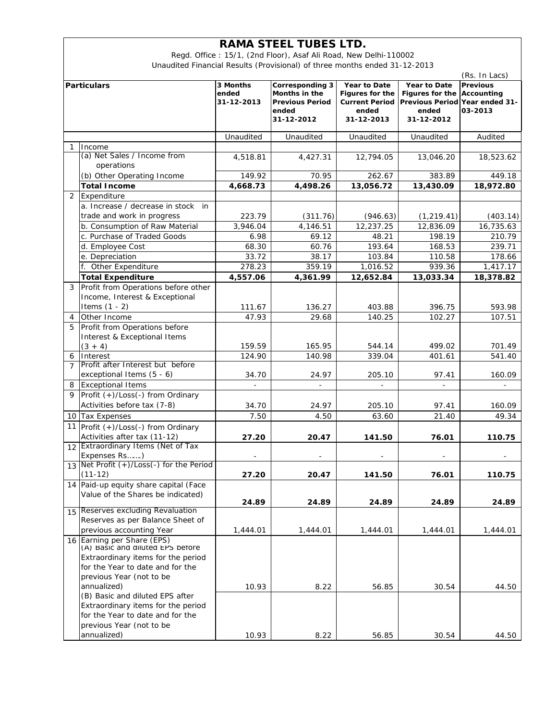## **RAMA STEEL TUBES LTD.**

Regd. Office : 15/1, (2nd Floor), Asaf Ali Road, New Delhi-110002 Unaudited Financial Results (Provisional) of three months ended 31-12-2013

| <b>Particulars</b> |                                          | 3 Months   | <b>Corresponding 3</b> | Year to Date          | Year to Date    | <b>Previous</b>                |
|--------------------|------------------------------------------|------------|------------------------|-----------------------|-----------------|--------------------------------|
|                    |                                          | ended      | Months in the          | Figures for the       | Figures for the | Accounting                     |
|                    |                                          | 31-12-2013 | <b>Previous Period</b> | <b>Current Period</b> |                 | Previous Period Year ended 31- |
|                    |                                          |            | ended                  | ended                 | ended           | 03-2013                        |
|                    |                                          |            | 31-12-2012             | 31-12-2013            | 31-12-2012      |                                |
|                    |                                          | Unaudited  | Unaudited              | Unaudited             | Unaudited       | Audited                        |
| 1                  | Income                                   |            |                        |                       |                 |                                |
|                    | (a) Net Sales / Income from              | 4,518.81   | 4,427.31               | 12,794.05             | 13,046.20       | 18,523.62                      |
|                    | operations                               |            |                        |                       |                 |                                |
|                    | (b) Other Operating Income               | 149.92     | 70.95                  | 262.67                | 383.89          | 449.18                         |
|                    | <b>Total Income</b>                      | 4,668.73   | 4,498.26               | 13,056.72             | 13,430.09       | 18,972.80                      |
| 2                  | Expenditure                              |            |                        |                       |                 |                                |
|                    | a. Increase / decrease in stock<br>in    |            |                        |                       |                 |                                |
|                    |                                          |            |                        |                       |                 |                                |
|                    | trade and work in progress               | 223.79     | (311.76)               | (946.63)              | (1, 219.41)     | (403.14)                       |
|                    | b. Consumption of Raw Material           | 3,946.04   | 4,146.51               | 12,237.25             | 12,836.09       | 16,735.63                      |
|                    | c. Purchase of Traded Goods              | 6.98       | 69.12                  | 48.21                 | 198.19          | 210.79                         |
|                    | d. Employee Cost                         | 68.30      | 60.76                  | 193.64                | 168.53          | 239.71                         |
|                    | e. Depreciation                          | 33.72      | 38.17                  | 103.84                | 110.58          | 178.66                         |
|                    | f. Other Expenditure                     | 278.23     | 359.19                 | 1,016.52              | 939.36          | 1,417.17                       |
|                    | <b>Total Expenditure</b>                 | 4.557.06   | 4,361.99               | 12,652.84             | 13,033.34       | 18,378.82                      |
| 3                  | Profit from Operations before other      |            |                        |                       |                 |                                |
|                    | Income, Interest & Exceptional           |            |                        |                       |                 |                                |
|                    | Items $(1 - 2)$                          | 111.67     | 136.27                 | 403.88                | 396.75          | 593.98                         |
| 4                  | Other Income                             | 47.93      | 29.68                  | 140.25                | 102.27          | 107.51                         |
| 5                  | Profit from Operations before            |            |                        |                       |                 |                                |
|                    | Interest & Exceptional Items             |            |                        |                       |                 |                                |
|                    | $(3 + 4)$                                | 159.59     | 165.95                 | 544.14                | 499.02          | 701.49                         |
| 6                  | Interest                                 | 124.90     | 140.98                 | 339.04                | 401.61          | 541.40                         |
| $\overline{7}$     | Profit after Interest but before         |            |                        |                       |                 |                                |
|                    | exceptional Items (5 - 6)                | 34.70      | 24.97                  | 205.10                | 97.41           | 160.09                         |
| 8                  | <b>Exceptional Items</b>                 |            |                        |                       |                 |                                |
| 9                  | Profit (+)/Loss(-) from Ordinary         |            |                        |                       |                 |                                |
|                    | Activities before tax (7-8)              | 34.70      | 24.97                  | 205.10                | 97.41           | 160.09                         |
| 10                 | <b>Tax Expenses</b>                      | 7.50       | 4.50                   | 63.60                 | 21.40           | 49.34                          |
| 11                 | Profit (+)/Loss(-) from Ordinary         |            |                        |                       |                 |                                |
|                    | Activities after tax (11-12)             | 27.20      | 20.47                  | 141.50                | 76.01           | 110.75                         |
|                    | 12 Extraordinary Items (Net of Tax       |            |                        |                       |                 |                                |
|                    | Expenses Rs)                             |            |                        |                       |                 |                                |
|                    | 13 Net Profit (+)/Loss(-) for the Period |            |                        |                       |                 |                                |
|                    | $(11 - 12)$                              | 27.20      | 20.47                  | 141.50                | 76.01           | 110.75                         |
|                    | 14 Paid-up equity share capital (Face    |            |                        |                       |                 |                                |
|                    | Value of the Shares be indicated)        |            |                        |                       |                 |                                |
|                    |                                          | 24.89      | 24.89                  | 24.89                 | 24.89           | 24.89                          |
| 15                 | <b>Reserves excluding Revaluation</b>    |            |                        |                       |                 |                                |
|                    | Reserves as per Balance Sheet of         |            |                        |                       |                 |                                |
|                    | previous accounting Year                 | 1,444.01   | 1,444.01               | 1,444.01              | 1,444.01        | 1,444.01                       |
|                    | 16 Earning per Share (EPS)               |            |                        |                       |                 |                                |
|                    | (A) Basic and diluted LPS before         |            |                        |                       |                 |                                |
|                    | Extraordinary items for the period       |            |                        |                       |                 |                                |
|                    | for the Year to date and for the         |            |                        |                       |                 |                                |
|                    | previous Year (not to be                 |            |                        |                       |                 |                                |
|                    | annualized)                              | 10.93      | 8.22                   | 56.85                 | 30.54           | 44.50                          |
|                    | (B) Basic and diluted EPS after          |            |                        |                       |                 |                                |
|                    | Extraordinary items for the period       |            |                        |                       |                 |                                |
|                    | for the Year to date and for the         |            |                        |                       |                 |                                |
|                    | previous Year (not to be                 |            |                        |                       |                 |                                |
|                    | annualized)                              | 10.93      | 8.22                   | 56.85                 | 30.54           | 44.50                          |